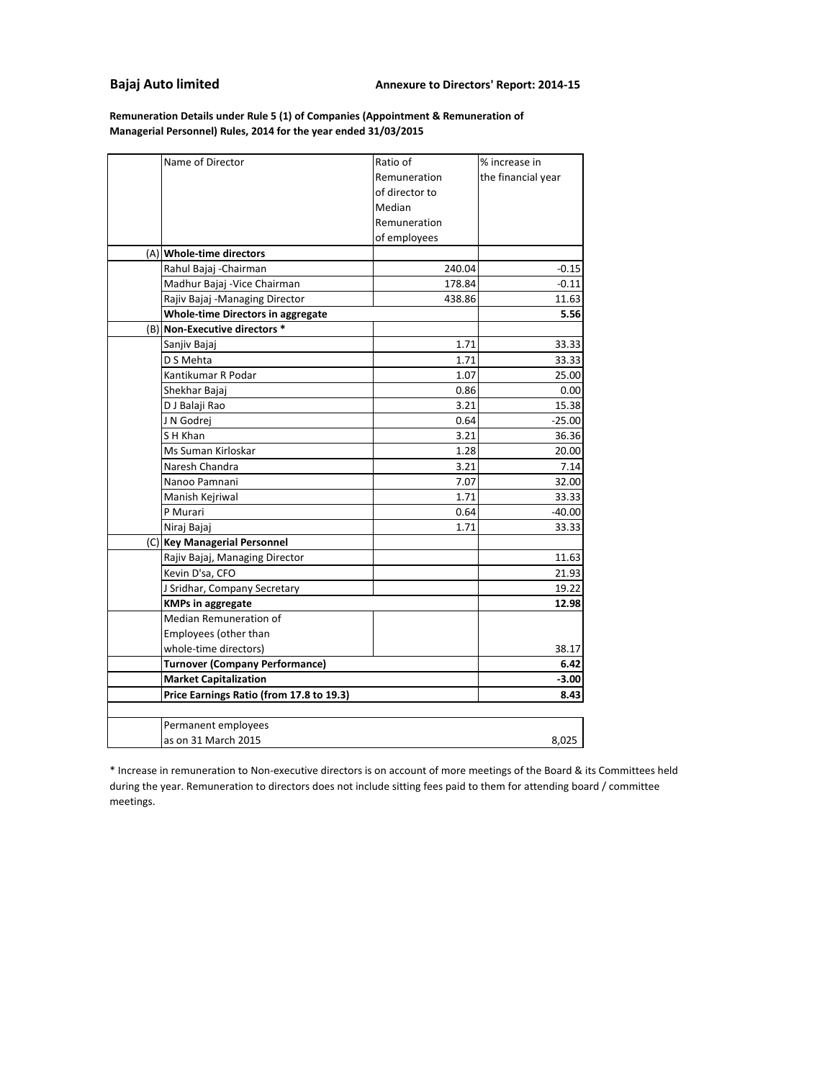#### **Bajaj Auto limited**

**Managerial Personnel) Rules, 2014 for the year ended 31/03/2015 Remuneration Details under Rule 5 (1) of Companies (Appointment & Remuneration of**

| Name of Director                         | Ratio of       | % increase in      |
|------------------------------------------|----------------|--------------------|
|                                          | Remuneration   | the financial year |
|                                          | of director to |                    |
|                                          | Median         |                    |
|                                          | Remuneration   |                    |
|                                          | of employees   |                    |
| (A) Whole-time directors                 |                |                    |
| Rahul Bajaj - Chairman                   | 240.04         | $-0.15$            |
| Madhur Bajaj - Vice Chairman             | 178.84         | $-0.11$            |
| Rajiv Bajaj -Managing Director           | 438.86         | 11.63              |
| <b>Whole-time Directors in aggregate</b> |                | 5.56               |
| (B) Non-Executive directors *            |                |                    |
| Sanjiv Bajaj                             | 1.71           | 33.33              |
| D S Mehta                                | 1.71           | 33.33              |
| Kantikumar R Podar                       | 1.07           | 25.00              |
| Shekhar Bajaj                            | 0.86           | 0.00               |
| D J Balaji Rao                           | 3.21           | 15.38              |
| J N Godrej                               | 0.64           | $-25.00$           |
| S H Khan                                 | 3.21           | 36.36              |
| Ms Suman Kirloskar                       | 1.28           | 20.00              |
| Naresh Chandra                           | 3.21           | 7.14               |
| Nanoo Pamnani                            | 7.07           | 32.00              |
| Manish Kejriwal                          | 1.71           | 33.33              |
| P Murari                                 | 0.64           | $-40.00$           |
| Niraj Bajaj                              | 1.71           | 33.33              |
| (C) Key Managerial Personnel             |                |                    |
| Rajiv Bajaj, Managing Director           |                | 11.63              |
| Kevin D'sa, CFO                          |                | 21.93              |
| J Sridhar, Company Secretary             |                | 19.22              |
| <b>KMPs in aggregate</b>                 |                | 12.98              |
| Median Remuneration of                   |                |                    |
| Employees (other than                    |                |                    |
| whole-time directors)                    |                | 38.17              |
| <b>Turnover (Company Performance)</b>    |                | 6.42               |
| <b>Market Capitalization</b>             |                | -3.00              |
| Price Earnings Ratio (from 17.8 to 19.3) | 8.43           |                    |
|                                          |                |                    |
| Permanent employees                      |                |                    |
| as on 31 March 2015                      |                | 8,025              |

\* Increase in remuneration to Non-executive directors is on account of more meetings of the Board & its Committees held during the year. Remuneration to directors does not include sitting fees paid to them for attending board / committee meetings.